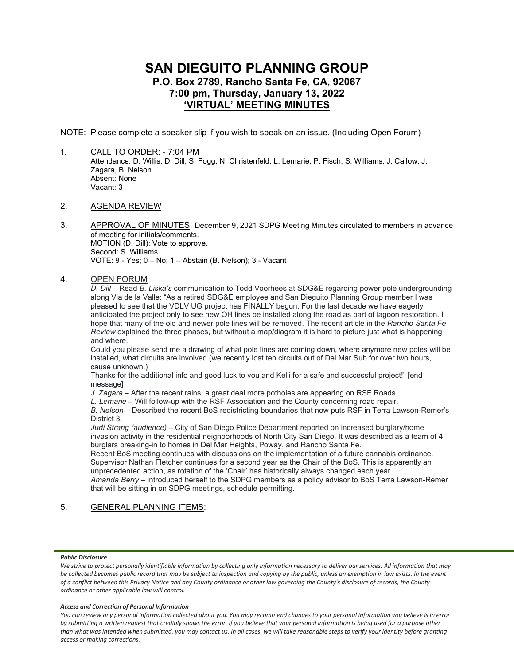# **SAN DIEGUITO PLANNING GROUP P.O. Box 2789, Rancho Santa Fe, CA, 92067 7:00 pm, Thursday, January 13, 2022 'VIRTUAL' MEETING MINUTES**

NOTE: Please complete a speaker slip if you wish to speak on an issue. (Including Open Forum)

1. CALL TO ORDER: - 7:04 PM Attendance: D. Willis, D. Dill, S. Fogg, N. Christenfeld, L. Lemarie, P. Fisch, S. Williams, J. Callow, J. Zagara, B. Nelson Absent: None Vacant: 3

# 2. AGENDA REVIEW

3. APPROVAL OF MINUTES: December 9, 2021 SDPG Meeting Minutes circulated to members in advance of meeting for initials/comments. MOTION (D. Dill): Vote to approve. Second: S. Williams VOTE: 9 - Yes; 0 – No; 1 – Abstain (B. Nelson); 3 - Vacant

# 4. OPEN FORUM

*D. Dill* – Read *B. Liska's* communication to Todd Voorhees at SDG&E regarding power pole undergrounding along Via de la Valle: "As a retired SDG&E employee and San Dieguito Planning Group member I was pleased to see that the VDLV UG project has FINALLY begun. For the last decade we have eagerly anticipated the project only to see new OH lines be installed along the road as part of lagoon restoration. I hope that many of the old and newer pole lines will be removed. The recent article in the *Rancho Santa Fe Review* explained the three phases, but without a map/diagram it is hard to picture just what is happening and where.

Could you please send me a drawing of what pole lines are coming down, where anymore new poles will be installed, what circuits are involved (we recently lost ten circuits out of Del Mar Sub for over two hours, cause unknown.)

Thanks for the additional info and good luck to you and Kelli for a safe and successful project!" [end messagel

*J. Zagara* – After the recent rains, a great deal more potholes are appearing on RSF Roads.

*L. Lemarie* – Will follow-up with the RSF Association and the County concerning road repair.

*B. Nelson* – Described the recent BoS redistricting boundaries that now puts RSF in Terra Lawson-Remer's District 3.

*Judi Strang (audience)* – City of San Diego Police Department reported on increased burglary/home invasion activity in the residential neighborhoods of North City San Diego. It was described as a team of 4 burglars breaking-in to homes in Del Mar Heights, Poway, and Rancho Santa Fe.

Recent BoS meeting continues with discussions on the implementation of a future cannabis ordinance. Supervisor Nathan Fletcher continues for a second year as the Chair of the BoS. This is apparently an unprecedented action, as rotation of the 'Chair' has historically always changed each year.

*Amanda Berry* – introduced herself to the SDPG members as a policy advisor to BoS Terra Lawson-Remer that will be sitting in on SDPG meetings, schedule permitting.

# 5. GENERAL PLANNING ITEMS:

#### *Public Disclosure*

#### *Access and Correction of Personal Information*

We strive to protect personally identifiable information by collecting only information necessary to deliver our services. All information that may *be collected becomes public record that may be subject to inspection and copying by the public, unless an exemption in law exists. In the event of a conflict between this Privacy Notice and any County ordinance or other law governing the County's disclosure of records, the County ordinance or other applicable law will control.*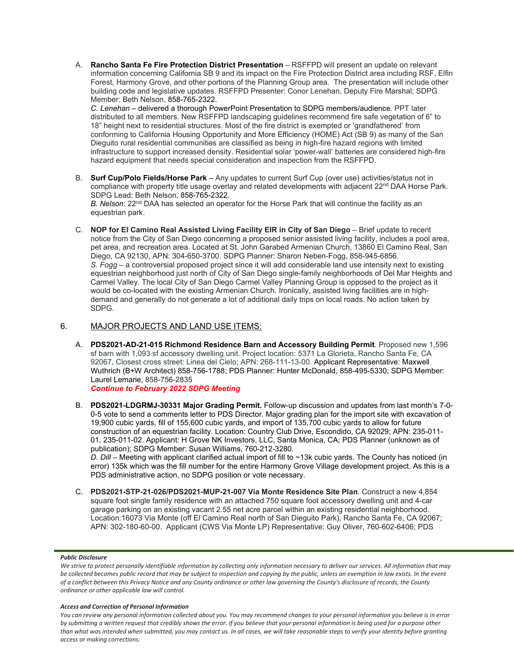A. **Rancho Santa Fe Fire Protection District Presentation** – RSFFPD will present an update on relevant information concerning California SB 9 and its impact on the Fire Protection District area including RSF, Elfin Forest, Harmony Grove, and other portions of the Planning Group area. The presentation will include other building code and legislative updates. RSFFPD Presenter: Conor Lenehan, Deputy Fire Marshal; SDPG Member: Beth Nelson, 858-765-2322.

*C. Lenehan* – delivered a thorough PowerPoint Presentation to SDPG members/audience. PPT later distributed to all members. New RSFFPD landscaping guidelines recommend fire safe vegetation of 6" to 18" height next to residential structures. Most of the fire district is exempted or 'grandfathered' from conforming to California Housing Opportunity and More Efficiency (HOME) Act (SB 9) as many of the San Dieguito rural residential communities are classified as being in high-fire hazard regions with limited infrastructure to support increased density. Residential solar 'power-wall' batteries are considered high-fire hazard equipment that needs special consideration and inspection from the RSFFPD.

B. **Surf Cup/Polo Fields/Horse Park** – Any updates to current Surf Cup (over use) activities/status not in compliance with property title usage overlay and related developments with adjacent 22<sup>nd</sup> DAA Horse Park. SDPG Lead: Beth Nelson, 858-765-2322.

B. Nelson: 22<sup>nd</sup> DAA has selected an operator for the Horse Park that will continue the facility as an equestrian park.

C. **NOP for El Camino Real Assisted Living Facility EIR in City of San Diego** – Brief update to recent notice from the City of San Diego concerning a proposed senior assisted living facility, includes a pool area, pet area, and recreation area. Located at St. John Garabed Armenian Church, 13860 El Camino Real, San Diego, CA 92130, APN: 304-650-3700. SDPG Planner: Sharon Neben-Fogg, 858-945-6856. *S. Fogg* – a controversial proposed project since it will add considerable land use intensity next to existing equestrian neighborhood just north of City of San Diego single-family neighborhoods of Del Mar Heights and Carmel Valley. The local City of San Diego Carmel Valley Planning Group is opposed to the project as it would be co-located with the existing Armenian Church. Ironically, assisted living facilities are in highdemand and generally do not generate a lot of additional daily trips on local roads. No action taken by SDPG.

# 6. MAJOR PROJECTS AND LAND USE ITEMS:

A. **PDS2021-AD-21-015 Richmond Residence Barn and Accessory Building Permit**. Proposed new 1,596 sf barn with 1,093 sf accessory dwelling unit. Project location: 5371 La Glorieta, Rancho Santa Fe, CA 92067, Closest cross street: Linea del Cielo; APN: 268-111-13-00. Applicant Representative: Maxwell Wuthrich (B+W Architect) 858-756-1788; PDS Planner: Hunter McDonald, 858-495-5330; SDPG Member: Laurel Lemarie, 858-756-2835 *Continue to February 2022 SDPG Meeting*

B. **PDS2021-LDGRMJ-30331 Major Grading Permit.** Follow-up discussion and updates from last month's 7-0- 0-5 vote to send a comments letter to PDS Director. Major grading plan for the import site with excavation of 19,900 cubic yards, fill of 155,600 cubic yards, and import of 135,700 cubic yards to allow for future construction of an equestrian facility. Location: Country Club Drive, Escondido, CA 92029; APN: 235-011- 01, 235-011-02. Applicant: H Grove NK Investors, LLC, Santa Monica, CA; PDS Planner (unknown as of publication); SDPG Member: Susan Williams, 760-212-3280.

*D. Dill* – Meeting with applicant clarified actual import of fill to ~13k cubic yards. The County has noticed (in error) 135k which was the fill number for the entire Harmony Grove Village development project. As this is a PDS administrative action, no SDPG position or vote necessary.

C. **PDS2021-STP-21-026/PDS2021-MUP-21-007 Via Monte Residence Site Plan**. Construct a new 4,854 square foot single family residence with an attached 750 square foot accessory dwelling unit and 4-car garage parking on an existing vacant 2.55 net acre parcel within an existing residential neighborhood. Location:16073 Via Monte (off El Camino Real north of San Dieguito Park), Rancho Santa Fe, CA 92067; APN: 302-180-60-00. Applicant (CWS Via Monte LP) Representative: Guy Oliver, 760-602-6406; PDS

#### *Public Disclosure*

#### *Access and Correction of Personal Information*

We strive to protect personally identifiable information by collecting only information necessary to deliver our services. All information that may *be collected becomes public record that may be subject to inspection and copying by the public, unless an exemption in law exists. In the event of a conflict between this Privacy Notice and any County ordinance or other law governing the County's disclosure of records, the County ordinance or other applicable law will control.*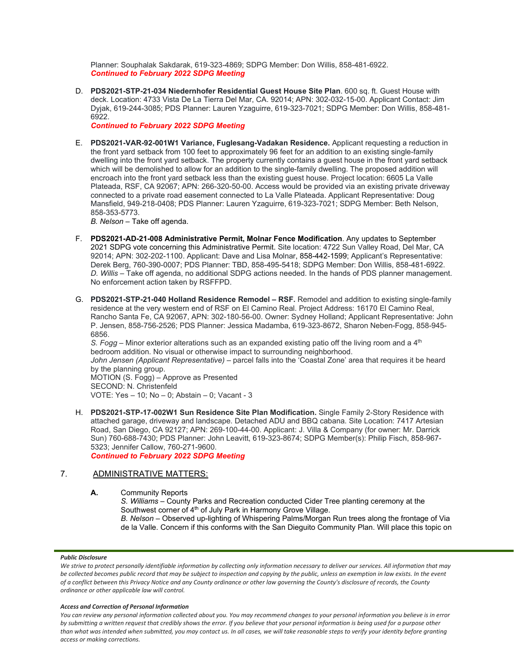Planner: Souphalak Sakdarak, 619-323-4869; SDPG Member: Don Willis, 858-481-6922. *Continued to February 2022 SDPG Meeting*

D. **PDS2021-STP-21-034 Niedernhofer Residential Guest House Site Plan**. 600 sq. ft. Guest House with deck. Location: 4733 Vista De La Tierra Del Mar, CA. 92014; APN: 302-032-15-00. Applicant Contact: Jim Dyjak, 619-244-3085; PDS Planner: Lauren Yzaguirre, 619-323-7021; SDPG Member: Don Willis, 858-481- 6922.

*Continued to February 2022 SDPG Meeting*

E. **PDS2021-VAR-92-001W1 Variance, Fuglesang-Vadakan Residence.** Applicant requesting a reduction in the front yard setback from 100 feet to approximately 96 feet for an addition to an existing single-family dwelling into the front yard setback. The property currently contains a guest house in the front yard setback which will be demolished to allow for an addition to the single-family dwelling. The proposed addition will encroach into the front yard setback less than the existing guest house. Project location: 6605 La Valle Plateada, RSF, CA 92067; APN: 266-320-50-00. Access would be provided via an existing private driveway connected to a private road easement connected to La Valle Plateada. Applicant Representative: Doug Mansfield, 949-218-0408; PDS Planner: Lauren Yzaguirre, 619-323-7021; SDPG Member: Beth Nelson, 858-353-5773.

*B. Nelson* – Take off agenda.

- F. **PDS2021-AD-21-008 Administrative Permit, Molnar Fence Modification**. Any updates to September 2021 SDPG vote concerning this Administrative Permit. Site location: 4722 Sun Valley Road, Del Mar, CA 92014; APN: 302-202-1100. Applicant: Dave and Lisa Molnar, 858-442-1599; Applicant's Representative: Derek Berg, 760-390-0007; PDS Planner: TBD, 858-495-5418; SDPG Member: Don Willis, 858-481-6922. *D. Willis* – Take off agenda, no additional SDPG actions needed. In the hands of PDS planner management. No enforcement action taken by RSFFPD.
- G. **PDS2021-STP-21-040 Holland Residence Remodel – RSF.** Remodel and addition to existing single-family residence at the very western end of RSF on El Camino Real. Project Address: 16170 El Camino Real, Rancho Santa Fe, CA 92067, APN: 302-180-56-00. Owner: Sydney Holland; Applicant Representative: John P. Jensen, 858-756-2526; PDS Planner: Jessica Madamba, 619-323-8672, Sharon Neben-Fogg, 858-945- 6856.

*S. Fogg* – Minor exterior alterations such as an expanded existing patio off the living room and a  $4<sup>th</sup>$ bedroom addition. No visual or otherwise impact to surrounding neighborhood. *John Jensen (Applicant Representative)* – parcel falls into the 'Coastal Zone' area that requires it be heard by the planning group. MOTION (S. Fogg) – Approve as Presented

SECOND: N. Christenfeld VOTE: Yes – 10; No – 0; Abstain – 0; Vacant - 3

H. **PDS2021-STP-17-002W1 Sun Residence Site Plan Modification.** Single Family 2-Story Residence with attached garage, driveway and landscape. Detached ADU and BBQ cabana. Site Location: 7417 Artesian Road, San Diego, CA 92127; APN: 269-100-44-00. Applicant: J. Villa & Company (for owner: Mr. Darrick Sun) 760-688-7430; PDS Planner: John Leavitt, 619-323-8674; SDPG Member(s): Philip Fisch, 858-967- 5323; Jennifer Callow, 760-271-9600.

*Continued to February 2022 SDPG Meeting*

# 7. ADMINISTRATIVE MATTERS:

- **A.** Community Reports
	- *S. Williams* County Parks and Recreation conducted Cider Tree planting ceremony at the Southwest corner of 4<sup>th</sup> of July Park in Harmony Grove Village.

*B. Nelson* – Observed up-lighting of Whispering Palms/Morgan Run trees along the frontage of Via de la Valle. Concern if this conforms with the San Dieguito Community Plan. Will place this topic on

#### *Public Disclosure*

*Access and Correction of Personal Information*

We strive to protect personally identifiable information by collecting only information necessary to deliver our services. All information that may *be collected becomes public record that may be subject to inspection and copying by the public, unless an exemption in law exists. In the event of a conflict between this Privacy Notice and any County ordinance or other law governing the County's disclosure of records, the County ordinance or other applicable law will control.*